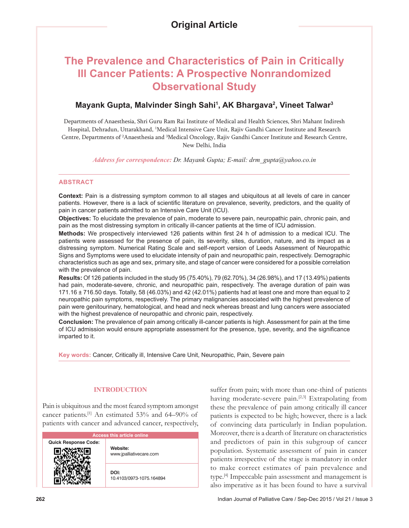# **The Prevalence and Characteristics of Pain in Critically Ill Cancer Patients: A Prospective Nonrandomized Observational Study**

# **Mayank Gupta, Malvinder Singh Sahi1 , AK Bhargava2 , Vineet Talwar3**

Departments of Anaesthesia, Shri Guru Ram Rai Institute of Medical and Health Sciences, Shri Mahant Indiresh Hospital, Dehradun, Uttarakhand, 1 Medical Intensive Care Unit, Rajiv Gandhi Cancer Institute and Research Centre, Departments of <sup>2</sup>Anaesthesia and <sup>3</sup>Medical Oncology, Rajiv Gandhi Cancer Institute and Research Centre, New Delhi, India

*Address for correspondence: Dr. Mayank Gupta; E-mail: drm\_gupta@yahoo.co.in*

# **ABSTRACT**

**Context:** Pain is a distressing symptom common to all stages and ubiquitous at all levels of care in cancer patients. However, there is a lack of scientific literature on prevalence, severity, predictors, and the quality of pain in cancer patients admitted to an Intensive Care Unit (ICU).

**Objectives:** To elucidate the prevalence of pain, moderate to severe pain, neuropathic pain, chronic pain, and pain as the most distressing symptom in critically ill-cancer patients at the time of ICU admission.

**Methods:** We prospectively interviewed 126 patients within first 24 h of admission to a medical ICU. The patients were assessed for the presence of pain, its severity, sites, duration, nature, and its impact as a distressing symptom. Numerical Rating Scale and self-report version of Leeds Assessment of Neuropathic Signs and Symptoms were used to elucidate intensity of pain and neuropathic pain, respectively. Demographic characteristics such as age and sex, primary site, and stage of cancer were considered for a possible correlation with the prevalence of pain.

**Results:** Of 126 patients included in the study 95 (75.40%), 79 (62.70%), 34 (26.98%), and 17 (13.49%) patients had pain, moderate-severe, chronic, and neuropathic pain, respectively. The average duration of pain was 171.16 ± 716.50 days. Totally, 58 (46.03%) and 42 (42.01%) patients had at least one and more than equal to 2 neuropathic pain symptoms, respectively. The primary malignancies associated with the highest prevalence of pain were genitourinary, hematological, and head and neck whereas breast and lung cancers were associated with the highest prevalence of neuropathic and chronic pain, respectively.

**Conclusion:** The prevalence of pain among critically ill-cancer patients is high. Assessment for pain at the time of ICU admission would ensure appropriate assessment for the presence, type, severity, and the significance imparted to it.

**Key words:** Cancer, Critically ill, Intensive Care Unit, Neuropathic, Pain, Severe pain

# **INTRODUCTION**

Pain is ubiquitous and the most feared symptom amongst cancer patients.[1] An estimated 53% and 64–90% of patients with cancer and advanced cancer, respectively,

| <b>Access this article online</b> |                                     |  |  |
|-----------------------------------|-------------------------------------|--|--|
| <b>Quick Response Code:</b>       | Website:<br>www.jpalliativecare.com |  |  |
|                                   | DOI:<br>10.4103/0973-1075.164894    |  |  |

suffer from pain; with more than one-third of patients having moderate-severe pain.<sup>[2,3]</sup> Extrapolating from these the prevalence of pain among critically ill cancer patients is expected to be high; however, there is a lack of convincing data particularly in Indian population. Moreover, there is a dearth of literature on characteristics and predictors of pain in this subgroup of cancer population. Systematic assessment of pain in cancer patients irrespective of the stage is mandatory in order to make correct estimates of pain prevalence and type.[4] Impeccable pain assessment and management is also imperative as it has been found to have a survival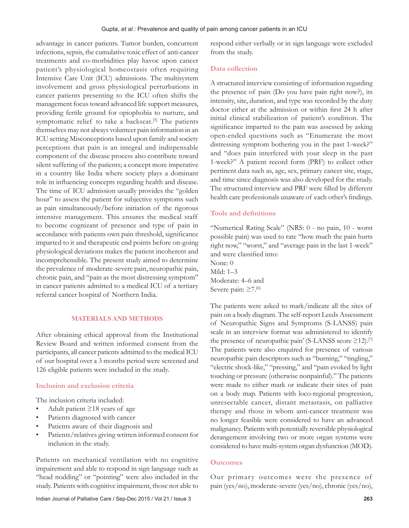advantage in cancer patients. Tumor burden, concurrent infections, sepsis, the cumulative toxic effect of anti‑cancer treatments and co‑morbidities play havoc upon cancer patient's physiological homeostasis often requiring Intensive Care Unit (ICU) admissions. The multisystem involvement and gross physiological perturbations in cancer patients presenting to the ICU often shifts the management focus toward advanced life support measures, providing fertile ground for opiophobia to nurture, and symptomatic relief to take a backseat.<sup>[5]</sup> The patients themselves may not always volunteer pain information in an ICU setting Misconceptions based upon family and society perceptions that pain is an integral and indispensable component of the disease process also contribute toward silent suffering of the patients; a concept more imperative in a country like India where society plays a dominant role in influencing concepts regarding health and disease. The time of ICU admission usually provides the "golden hour" to assess the patient for subjective symptoms such as pain simultaneously/before initiation of the rigorous intensive management. This ensures the medical staff to become cognizant of presence and type of pain in accordance with patients own pain threshold, significance imparted to it and therapeutic end points before on‑going physiological deviations makes the patient incoherent and incomprehensible. The present study aimed to determine the prevalence of moderate‑severe pain, neuropathic pain, chronic pain, and "pain as the most distressing symptom" in cancer patients admitted to a medical ICU of a tertiary referral cancer hospital of Northern India.

# **MATERIALS AND METHODS**

After obtaining ethical approval from the Institutional Review Board and written informed consent from the participants, all cancer patients admitted to the medical ICU of our hospital over a 3 months period were screened and 126 eligible patients were included in the study.

# **Inclusion and exclusion criteria**

The inclusion criteria included:

- Adult patient  $\geq$ 18 years of age
- Patients diagnosed with cancer
- Patients aware of their diagnosis and
- Patients/relatives giving written informed consent for inclusion in the study.

Patients on mechanical ventilation with no cognitive impairement and able to respond in sign language such as "head nodding" or "pointing" were also included in the study. Patients with cognitive impairment, those not able to respond either verbally or in sign language were excluded from the study.

#### **Data collection**

A structured interview consisting of information regarding the presence of pain (Do you have pain right now?), its intensity, site, duration, and type was recorded by the duty doctor either at the admission or within first 24 h after initial clinical stabilization of patient's condition. The significance imparted to the pain was assessed by asking open‑ended questions such as "Enumerate the most distressing symptom bothering you in the past 1‑week?" and "does pain interfered with your sleep in the past 1‑week?" A patient record form (PRF) to collect other pertinent data such as, age, sex, primary cancer site, stage, and time since diagnosis was also developed for the study. The structured interview and PRF were filled by different health care professionals unaware of each other's findings.

### **Tools and definitions**

"Numerical Rating Scale" (NRS: 0 ‑ no pain, 10 ‑ worst possible pain) was used to rate "how much the pain hurts right now," "worst," and "average pain in the last 1‑week" and were classified into: None: 0 Mild: 1–3 Moderate: 4–6 and Severe pain: ≥7.[6]

The patients were asked to mark/indicate all the sites of pain on a body diagram. The self-report Leeds Assessment of Neuropathic Signs and Symptoms (S‑LANSS) pain scale in an interview format was administered to identify the presence of neuropathic pain' (S-LANSS score ≥12).<sup>[7]</sup> The patients were also enquired for presence of various neuropathic pain descriptors such as "burning," "tingling," "electric shock-like," "pressing," and "pain evoked by light touching or pressure (otherwise nonpainful)." The patients were made to either mark or indicate their sites of pain on a body map. Patients with loco‑regional progression, unresectable cancer, distant metastasis, on palliative therapy and those in whom anti-cancer treatment was no longer feasible were considered to have an advanced malignancy. Patients with potentially reversible physiological derangement involving two or more organ systems were considered to have multi‑system organ dysfunction (MOD).

#### **Outcomes**

Our primary outcomes were the presence of pain (yes/no), moderate‑severe (yes/no), chronic (yes/no),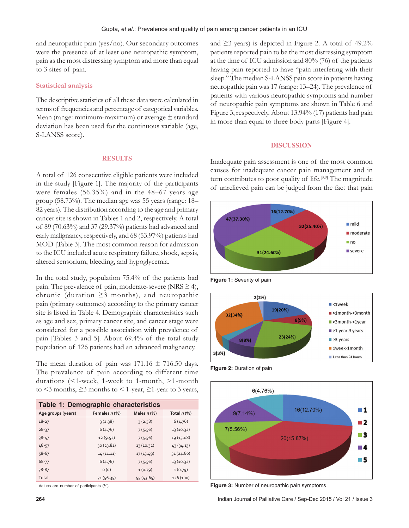and neuropathic pain (yes/no). Our secondary outcomes were the presence of at least one neuropathic symptom, pain as the most distressing symptom and more than equal to 3 sites of pain.

# **Statistical analysis**

The descriptive statistics of all these data were calculated in terms of frequencies and percentage of categorical variables. Mean (range: minimum‑maximum) or average ± standard deviation has been used for the continuous variable (age, S-LANSS score).

#### **RESULTS**

A total of 126 consecutive eligible patients were included in the study [Figure 1]. The majority of the participants were females (56.35%) and in the 48–67 years age group (58.73%). The median age was 55 years (range: 18– 82 years). The distribution according to the age and primary cancer site is shown in Tables 1 and 2, respectively. A total of 89 (70.63%) and 37 (29.37%) patients had advanced and early malignancy, respectively, and 68 (53.97%) patients had MOD [Table 3]. The most common reason for admission to the ICU included acute respiratory failure, shock, sepsis, altered sensorium, bleeding, and hypoglycemia.

In the total study, population 75.4% of the patients had pain. The prevalence of pain, moderate-severe (NRS  $\geq$  4), chronic (duration ≥3 months), and neuropathic pain (primary outcomes) according to the primary cancer site is listed in Table 4. Demographic characteristics such as age and sex, primary cancer site, and cancer stage were considered for a possible association with prevalence of pain [Tables 3 and 5]. About 69.4% of the total study population of 126 patients had an advanced malignancy.

The mean duration of pain was  $171.16 \pm 716.50$  days. The prevalence of pain according to different time durations (<1‑week, 1‑week to 1‑month, >1‑month to  $\leq$ 3 months,  $\geq$ 3 months to  $\leq$  1-year,  $\geq$ 1-year to 3 years,

| Table 1: Demographic characteristics |               |               |               |
|--------------------------------------|---------------|---------------|---------------|
| Age groups (years)                   | Females n (%) | Males $n$ (%) | Total $n$ (%) |
| $18 - 27$                            | 3(2.38)       | 3(2.38)       | 6(4.76)       |
| $28 - 37$                            | 6(4.76)       | 7(5.56)       | 13(10.32)     |
| $38 - 47$                            | 12(9.52)      | 7(5.56)       | 19 (15.08)    |
| $48 - 57$                            | 30(23.81)     | 13(10.32)     | 43(34.13)     |
| $58 - 67$                            | 14(11.11)     | 17(13.49)     | 31(24.60)     |
| 68-77                                | 6(4.76)       | 7(5.56)       | 13(10.32)     |
| 78-87                                | O(0)          | 1(0.79)       | 1(0.79)       |
| Total                                | 71(56.35)     | 55(43.65)     | 126 (100)     |

Values are number of participants (%)

and  $\geq$ 3 years) is depicted in Figure 2. A total of 49.2% patients reported pain to be the most distressing symptom at the time of ICU admission and 80% (76) of the patients having pain reported to have "pain interfering with their sleep." The median S-LANSS pain score in patients having neuropathic pain was 17 (range: 13–24). The prevalence of patients with various neuropathic symptoms and number of neuropathic pain symptoms are shown in Table 6 and Figure 3, respectively. About 13.94% (17) patients had pain in more than equal to three body parts [Figure 4].

#### **DISCUSSION**

Inadequate pain assessment is one of the most common causes for inadequate cancer pain management and in turn contributes to poor quality of life.<sup>[8,9]</sup> The magnitude of unrelieved pain can be judged from the fact that pain



**Figure 1:** Severity of pain



**Figure 2:** Duration of pain



**Figure 3:** Number of neuropathic pain symptoms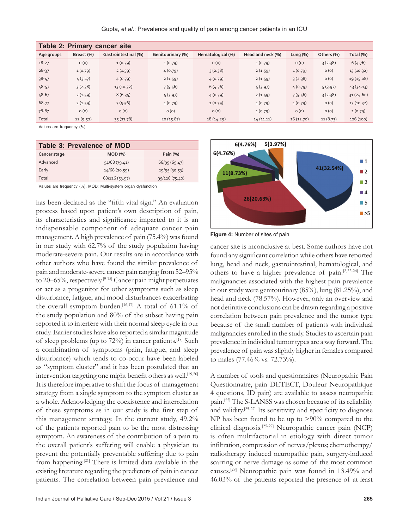Gupta, *et al*.: Prevalence and quality of pain among cancer patients in an ICU

| Table 2: Primary cancer site |            |                      |                   |                   |                   |             |            |            |
|------------------------------|------------|----------------------|-------------------|-------------------|-------------------|-------------|------------|------------|
| Age groups                   | Breast (%) | Gastrointestinal (%) | Genitourinary (%) | Hematological (%) | Head and neck (%) | Lung $(% )$ | Others (%) | Total (%)  |
| $18 - 27$                    | O(0)       | 1(0.79)              | 1(0.79)           | O(0)              | 1(0.79)           | O(0)        | 3(2.38)    | 6(4.76)    |
| $28 - 37$                    | 1(0.79)    | 2(1.59)              | 4(0.79)           | 3(2.38)           | 2(1.59)           | 1(0.79)     | O(0)       | 13 (10.32) |
| $38 - 47$                    | 4(3.17)    | 4(0.79)              | 2(1.59)           | 4(0.79)           | 2(1.59)           | 3(2.38)     | O(0)       | 19 (15.08) |
| $48 - 57$                    | 3(2.38)    | 13(10.32)            | 7(5.56)           | 6(4.76)           | 5(3.97)           | 4(0.79)     | 5(3.97)    | 43(34.13)  |
| 58-67                        | 2(1.59)    | 8(6.35)              | 5(3.97)           | 4(0.79)           | 2(1.59)           | 7(5.56)     | 3(2.38)    | 31(24.60)  |
| 68-77                        | 2(1.59)    | 7(5.56)              | 1(0.79)           | 1(0.79)           | 1(0.79)           | 1(0.79)     | O(0)       | 13 (10.32) |
| 78-87                        | O(0)       | O(0)                 | O(0)              | O(0)              | 1(0.79)           | O(0)        | O(0)       | 1(0.79)    |
| Total                        | 12(9.52)   | 35(27.78)            | 20(15.87)         | 18(14.29)         | 14(11.11)         | 16(12.70)   | 11(8.73)   | 126(100)   |

Values are frequency (%)

| Table 3: Prevalence of MOD       |  |  |  |
|----------------------------------|--|--|--|
| Pain (%)                         |  |  |  |
| 66/95(69.47)<br>54/68 (79.41)    |  |  |  |
| 14/68(20.59)<br>29/95(30.53)     |  |  |  |
| 68/126 (53.97)<br>95/126 (75.40) |  |  |  |
|                                  |  |  |  |

Values are frequency (%). MOD: Multi‑system organ dysfunction

has been declared as the "fifth vital sign." An evaluation process based upon patient's own description of pain, its characteristics and significance imparted to it is an indispensable component of adequate cancer pain management. A high prevalence of pain (75.4%) was found in our study with 62.7% of the study population having moderate‑severe pain. Our results are in accordance with other authors who have found the similar prevalence of pain and moderate-severe cancer pain ranging from 52-95% to 20–65%, respectively.<sup>[9-15]</sup> Cancer pain might perpetuates or act as a progenitor for other symptoms such as sleep disturbance, fatigue, and mood disturbances exacerbating the overall symptom burden.<sup>[16,17]</sup> A total of 61.1% of the study population and 80% of the subset having pain reported it to interfere with their normal sleep cycle in our study. Earlier studies have also reported a similar magnitude of sleep problems (up to 72%) in cancer patients.[18] Such a combination of symptoms (pain, fatigue, and sleep disturbance) which tends to co‑occur have been labeled as "symptom cluster" and it has been postulated that an intervention targeting one might benefit others as well.<sup>[19,20]</sup> It is therefore imperative to shift the focus of management strategy from a single symptom to the symptom cluster as a whole. Acknowledging the coexistence and interrelation of these symptoms as in our study is the first step of this management strategy. In the current study, 49.2% of the patients reported pain to be the most distressing symptom. An awareness of the contribution of a pain to the overall patient's suffering will enable a physician to prevent the potentially preventable suffering due to pain from happening.[21] There is limited data available in the existing literature regarding the predictors of pain in cancer patients. The correlation between pain prevalence and



**Figure 4:** Number of sites of pain

cancer site is inconclusive at best. Some authors have not found any significant correlation while others have reported lung, head and neck, gastrointestinal, hematological, and others to have a higher prevalence of pain.[2,22‑24] The malignancies associated with the highest pain prevalence in our study were genitourinary (85%), lung (81.25%), and head and neck (78.57%). However, only an overview and not definitive conclusions can be drawn regarding a positive correlation between pain prevalence and the tumor type because of the small number of patients with individual malignancies enrolled in the study. Studies to ascertain pain prevalence in individual tumor types are a way forward. The prevalence of pain was slightly higher in females compared to males (77.46% vs. 72.73%).

A number of tools and questionnaires (Neuropathic Pain Questionnaire, pain DETECT, Douleur Neuropathique 4 questions, ID pain) are available to assess neuropathic pain.<sup>[25]</sup> The S-LANSS was chosen because of its reliability and validity.<sup>[25-27]</sup> Its sensitivity and specificity to diagnose NP has been found to be up to >90% compared to the clinical diagnosis.[25‑27] Neuropathic cancer pain (NCP) is often multifactorial in etiology with direct tumor infiltration, compression of nerves/plexus; chemotherapy/ radiotherapy induced neuropathic pain, surgery‑induced scarring or nerve damage as some of the most common causes.[28] Neuropathic pain was found in 13.49% and 46.03% of the patients reported the presence of at least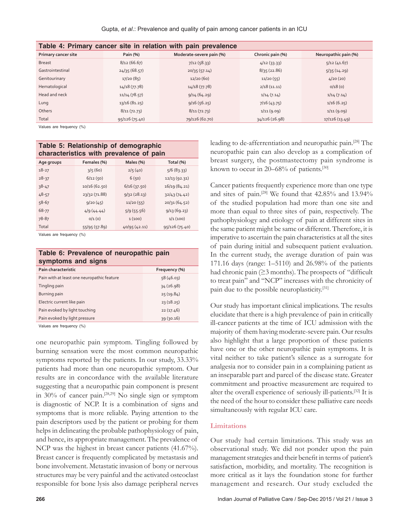Gupta, *et al*.: Prevalence and quality of pain among cancer patients in an ICU

| Table 4: Primary cancer site in relation with pain prevalence |                |                          |                  |                      |
|---------------------------------------------------------------|----------------|--------------------------|------------------|----------------------|
| Primary cancer site                                           | Pain (%)       | Moderate-severe pain (%) | Chronic pain (%) | Neuropathic pain (%) |
| <b>Breast</b>                                                 | 8/12(66.67)    | 7/12(58.33)              | 4/12(33.33)      | 5/12(41.67)          |
| Gastrointestinal                                              | 24/35(68.57)   | 20/35(57.14)             | 8/35(22.86)      | 5/35(14.29)          |
| Genitourinary                                                 | 17/20(85)      | 12/20(60)                | 11/20(55)        | 4/20(20)             |
| Hematological                                                 | 14/18(77.78)   | 14/18(77.78)             | 2/18(11.11)      | 0/18(0)              |
| Head and neck                                                 | 11/14(78.57)   | 9/14(64.29)              | 1/14(7.14)       | 1/14(7.14)           |
| Lung                                                          | 13/16(81.25)   | 9/16(56.25)              | 7/16(43.75)      | 1/16(6.25)           |
| Others                                                        | 8/11(72.73)    | 8/11(72.73)              | 1/11(9.09)       | 1/11(9.09)           |
| Total                                                         | 95/126 (75.40) | 79/126 (62.70)           | 34/126 (26.98)   | 17/126 (13.49)       |

Values are frequency (%)

| Table 5: Relationship of demographic<br>characteristics with prevalence of pain |               |               |                |  |
|---------------------------------------------------------------------------------|---------------|---------------|----------------|--|
| Age groups                                                                      | Females (%)   | Males (%)     | Total (%)      |  |
| $18 - 27$                                                                       | 3/5(60)       | 2/5(40)       | 5/6(83.33)     |  |
| $28 - 37$                                                                       | 6/12(50)      | 6(50)         | 12/13 (92.31)  |  |
| $38 - 47$                                                                       | 10/16 (62.50) | 6/16(37.50)   | 16/19 (84.21)  |  |
| $48 - 57$                                                                       | 23/32 (71.88) | 9/32(28.13)   | 32/43(74.42)   |  |
| $58 - 67$                                                                       | 9/20(45)      | 11/20(55)     | 20/31(64.52)   |  |
| 68-77                                                                           | 4/9(44.44)    | 5/9(55.56)    | 9/13(69.23)    |  |
| 78-87                                                                           | 0/1(0)        | 1(100)        | 1/1(100)       |  |
| Total                                                                           | 55/95 (57.89) | 40/95 (42.11) | 95/126 (75.40) |  |

Values are frequency (%)

#### **Table 6: Prevalence of neuropathic pain symptoms and signs**

| Pain characteristic                        | Frequency (%) |
|--------------------------------------------|---------------|
| Pain with at least one neuropathic feature | 58(46.03)     |
| Tingling pain                              | 34(26.98)     |
| Burning pain                               | 25(19.84)     |
| Electric current like pain                 | 23(18.25)     |
| Pain evoked by light touching              | 22(17.46)     |
| Pain evoked by light pressure              | 39(30.16)     |

Values are frequency (%)

one neuropathic pain symptom. Tingling followed by burning sensation were the most common neuropathic symptoms reported by the patients. In our study, 33.33% patients had more than one neuropathic symptom. Our results are in concordance with the available literature suggesting that a neuropathic pain component is present in 30% of cancer pain.[28,29] No single sign or symptom is diagnostic of NCP. It is a combination of signs and symptoms that is more reliable. Paying attention to the pain descriptors used by the patient or probing for them helps in delineating the probable pathophysiology of pain, and hence, its appropriate management. The prevalence of NCP was the highest in breast cancer patients (41.67%). Breast cancer is frequently complicated by metastasis and bone involvement. Metastatic invasion of bony or nervous structures may be very painful and the activated osteoclast responsible for bone lysis also damage peripheral nerves

leading to de‑afferrentiation and neuropathic pain.[28] The neuropathic pain can also develop as a complication of breast surgery, the postmastectomy pain syndrome is known to occur in 20–68% of patients.<sup>[30]</sup>

Cancer patients frequently experience more than one type and sites of pain.[28] We found that 42.85% and 13.94% of the studied population had more than one site and more than equal to three sites of pain, respectively. The pathophysiology and etiology of pain at different sites in the same patient might be same or different. Therefore, it is imperative to ascertain the pain characteristics at all the sites of pain during initial and subsequent patient evaluation. In the current study, the average duration of pain was 171.16 days (range: 1–5110) and 26.98% of the patients had chronic pain (≥3 months). The prospects of "difficult to treat pain" and "NCP" increases with the chronicity of pain due to the possible neuroplasticity.[31]

Our study has important clinical implications. The results elucidate that there is a high prevalence of pain in critically ill‑cancer patients at the time of ICU admission with the majority of them having moderate‑severe pain. Our results also highlight that a large proportion of these patients have one or the other neuropathic pain symptoms. It is vital neither to take patient's silence as a surrogate for analgesia nor to consider pain in a complaining patient as an inseparable part and parcel of the disease state. Greater commitment and proactive measurement are required to alter the overall experience of seriously ill-patients.<sup>[32]</sup> It is the need of the hour to consider these palliative care needs simultaneously with regular ICU care.

#### **Limitations**

Our study had certain limitations. This study was an observational study. We did not ponder upon the pain management strategies and their benefit in terms of patient's satisfaction, morbidity, and mortality. The recognition is more critical as it lays the foundation stone for further management and research. Our study excluded the